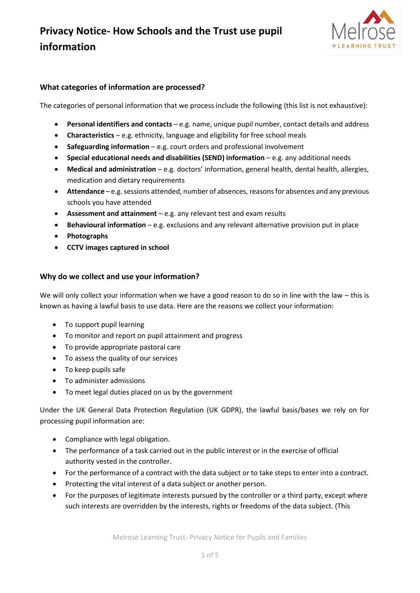

### **What categories of information are processed?**

The categories of personal information that we process include the following (this list is not exhaustive):

- **Personal identifiers and contacts** e.g. name, unique pupil number, contact details and address
- **Characteristics**  e.g. ethnicity, language and eligibility for free school meals
- **Safeguarding information** e.g. court orders and professional involvement
- **Special educational needs and disabilities (SEND) information** e.g. any additional needs
- **Medical and administration** e.g. doctors' information, general health, dental health, allergies, medication and dietary requirements
- **Attendance** e.g. sessions attended, number of absences, reasons for absences and any previous schools you have attended
- **Assessment and attainment** e.g. any relevant test and exam results
- **Behavioural information** e.g. exclusions and any relevant alternative provision put in place
- **Photographs**
- **CCTV images captured in school**

#### **Why do we collect and use your information?**

We will only collect your information when we have a good reason to do so in line with the law – this is known as having a lawful basis to use data. Here are the reasons we collect your information:

- To support pupil learning
- To monitor and report on pupil attainment and progress
- To provide appropriate pastoral care
- To assess the quality of our services
- To keep pupils safe
- To administer admissions
- To meet legal duties placed on us by the government

Under the UK General Data Protection Regulation (UK GDPR), the lawful basis/bases we rely on for processing pupil information are:

- Compliance with legal obligation.
- The performance of a task carried out in the public interest or in the exercise of official authority vested in the controller.
- For the performance of a contract with the data subject or to take steps to enter into a contract.
- Protecting the vital interest of a data subject or another person.
- For the purposes of legitimate interests pursued by the controller or a third party, except where such interests are overridden by the interests, rights or freedoms of the data subject. (This

Melrose Learning Trust- Privacy Notice for Pupils and Families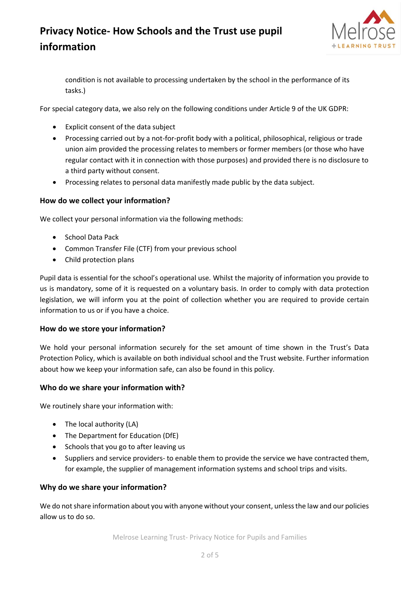

condition is not available to processing undertaken by the school in the performance of its tasks.)

For special category data, we also rely on the following conditions under Article 9 of the UK GDPR:

- Explicit consent of the data subject
- Processing carried out by a not-for-profit body with a political, philosophical, religious or trade union aim provided the processing relates to members or former members (or those who have regular contact with it in connection with those purposes) and provided there is no disclosure to a third party without consent.
- Processing relates to personal data manifestly made public by the data subject.

### **How do we collect your information?**

We collect your personal information via the following methods:

- School Data Pack
- Common Transfer File (CTF) from your previous school
- Child protection plans

Pupil data is essential for the school's operational use. Whilst the majority of information you provide to us is mandatory, some of it is requested on a voluntary basis. In order to comply with data protection legislation, we will inform you at the point of collection whether you are required to provide certain information to us or if you have a choice.

### **How do we store your information?**

We hold your personal information securely for the set amount of time shown in the Trust's Data Protection Policy, which is available on both individual school and the Trust website. Further information about how we keep your information safe, can also be found in this policy.

### **Who do we share your information with?**

We routinely share your information with:

- The local authority (LA)
- The Department for Education (DfE)
- Schools that you go to after leaving us
- Suppliers and service providers- to enable them to provide the service we have contracted them, for example, the supplier of management information systems and school trips and visits.

### **Why do we share your information?**

We do not share information about you with anyone without your consent, unless the law and our policies allow us to do so.

Melrose Learning Trust- Privacy Notice for Pupils and Families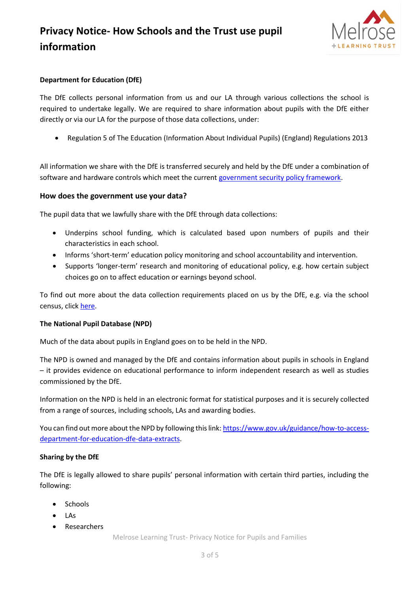

### **Department for Education (DfE)**

The DfE collects personal information from us and our LA through various collections the school is required to undertake legally. We are required to share information about pupils with the DfE either directly or via our LA for the purpose of those data collections, under:

• Regulation 5 of The Education (Information About Individual Pupils) (England) Regulations 2013

All information we share with the DfE is transferred securely and held by the DfE under a combination of software and hardware controls which meet the current [government security policy framework.](https://www.gov.uk/government/publications/security-policy-framework)

### **How does the government use your data?**

The pupil data that we lawfully share with the DfE through data collections:

- Underpins school funding, which is calculated based upon numbers of pupils and their characteristics in each school.
- Informs 'short-term' education policy monitoring and school accountability and intervention.
- Supports 'longer-term' research and monitoring of educational policy, e.g. how certain subject choices go on to affect education or earnings beyond school.

To find out more about the data collection requirements placed on us by the DfE, e.g. via the school census, click [here.](https://www.gov.uk/education/data-collection-and-censuses-for-schools)

### **The National Pupil Database (NPD)**

Much of the data about pupils in England goes on to be held in the NPD.

The NPD is owned and managed by the DfE and contains information about pupils in schools in England – it provides evidence on educational performance to inform independent research as well as studies commissioned by the DfE.

Information on the NPD is held in an electronic format for statistical purposes and it is securely collected from a range of sources, including schools, LAs and awarding bodies.

You can find out more about the NPD by following this link[: https://www.gov.uk/guidance/how-to-access](https://www.gov.uk/guidance/how-to-access-department-for-education-dfe-data-extracts)[department-for-education-dfe-data-extracts.](https://www.gov.uk/guidance/how-to-access-department-for-education-dfe-data-extracts)

### **Sharing by the DfE**

The DfE is legally allowed to share pupils' personal information with certain third parties, including the following:

- Schools
- LAs
- Researchers

Melrose Learning Trust- Privacy Notice for Pupils and Families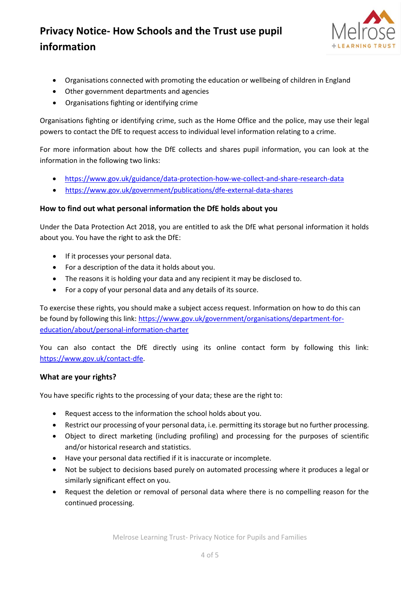

- Organisations connected with promoting the education or wellbeing of children in England
- Other government departments and agencies
- Organisations fighting or identifying crime

Organisations fighting or identifying crime, such as the Home Office and the police, may use their legal powers to contact the DfE to request access to individual level information relating to a crime.

For more information about how the DfE collects and shares pupil information, you can look at the information in the following two links:

- <https://www.gov.uk/guidance/data-protection-how-we-collect-and-share-research-data>
- <https://www.gov.uk/government/publications/dfe-external-data-shares>

### **How to find out what personal information the DfE holds about you**

Under the Data Protection Act 2018, you are entitled to ask the DfE what personal information it holds about you. You have the right to ask the DfE:

- If it processes your personal data.
- For a description of the data it holds about you.
- The reasons it is holding your data and any recipient it may be disclosed to.
- For a copy of your personal data and any details of its source.

To exercise these rights, you should make a subject access request. Information on how to do this can be found by following this link: [https://www.gov.uk/government/organisations/department-for](https://www.gov.uk/government/organisations/department-for-education/about/personal-information-charter)[education/about/personal-information-charter](https://www.gov.uk/government/organisations/department-for-education/about/personal-information-charter)

You can also contact the DfE directly using its online contact form by following this link: [https://www.gov.uk/contact-dfe.](https://www.gov.uk/contact-dfe)

### **What are your rights?**

You have specific rights to the processing of your data; these are the right to:

- Request access to the information the school holds about you.
- Restrict our processing of your personal data, i.e. permitting its storage but no further processing.
- Object to direct marketing (including profiling) and processing for the purposes of scientific and/or historical research and statistics.
- Have your personal data rectified if it is inaccurate or incomplete.
- Not be subject to decisions based purely on automated processing where it produces a legal or similarly significant effect on you.
- Request the deletion or removal of personal data where there is no compelling reason for the continued processing.